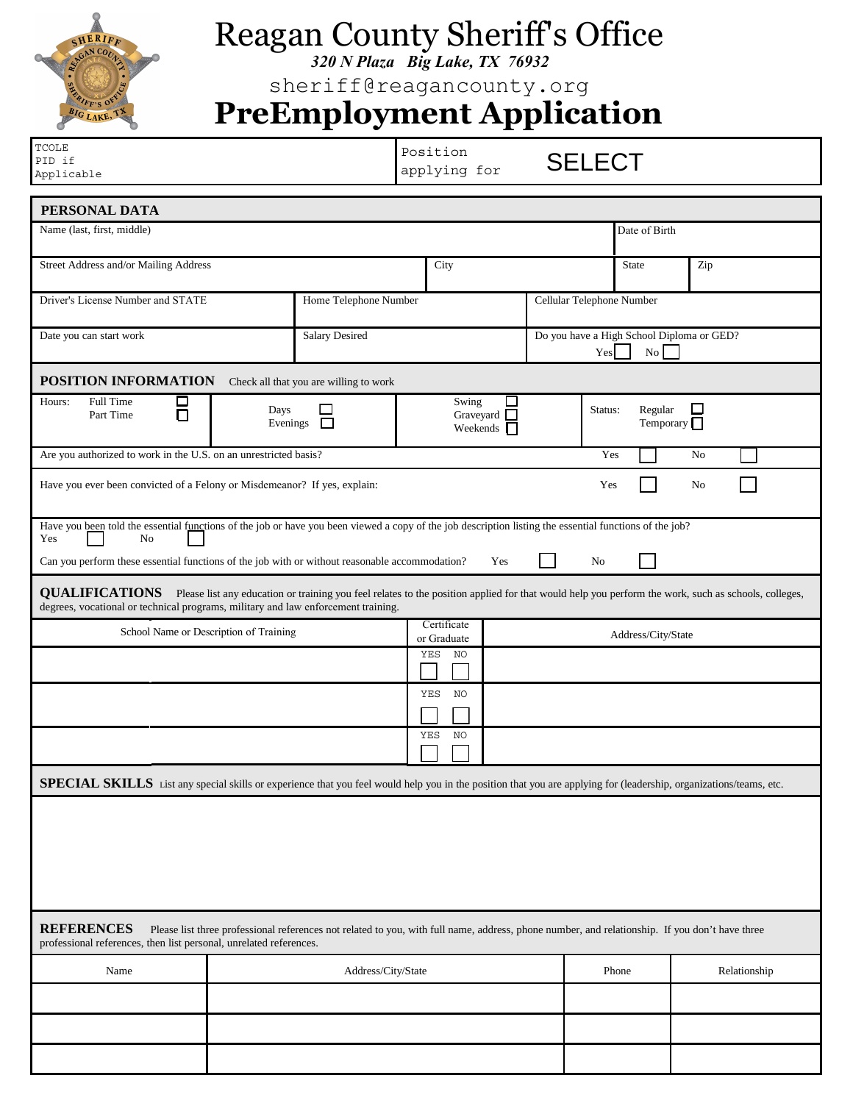

Yes | No

 $\perp$ 

## Reagan County Sheriff's Office

*320 N Plaza Big Lake, TX 76932*

sheriff@reagancounty.org

## **PreEmployment Application**

| <b>TCOLE</b><br>PID if<br>Applicable                                      |                                        | Position<br>applying for                     | <b>SELECT</b>                                    |                             |                |
|---------------------------------------------------------------------------|----------------------------------------|----------------------------------------------|--------------------------------------------------|-----------------------------|----------------|
| PERSONAL DATA                                                             |                                        |                                              |                                                  |                             |                |
| Name (last, first, middle)                                                |                                        |                                              |                                                  | Date of Birth               |                |
| Street Address and/or Mailing Address                                     |                                        | City                                         |                                                  | <b>State</b>                | Zip            |
| Driver's License Number and STATE                                         | Home Telephone Number                  |                                              | Cellular Telephone Number                        |                             |                |
| Date you can start work                                                   | <b>Salary Desired</b>                  |                                              | Do you have a High School Diploma or GED?<br>Yes | No                          |                |
| POSITION INFORMATION                                                      | Check all that you are willing to work |                                              |                                                  |                             |                |
| Full Time<br>Hours:<br>0<br>0<br>Days<br>Part Time<br>Evenings            | $\Box$                                 | Swing<br>Graveyard $\Box$<br>Weekends $\Box$ | Status:                                          | Regular<br>Temporary $\Box$ |                |
| Are you authorized to work in the U.S. on an unrestricted basis?          |                                        |                                              | Yes                                              |                             | N <sub>0</sub> |
| Have you ever been convicted of a Felony or Misdemeanor? If yes, explain: |                                        |                                              | Yes                                              |                             | N <sub>0</sub> |

Can you perform these essential functions of the job with or without reasonable accommodation? Yes No

**QUALIFICATIONS** Please list any education or training you feel relates to the position applied for that would help you perform the work, such as schools, colleges, degrees, vocational or technical programs, military and law enforcement training.

| School Name or Description of Training | Certificate<br>or Graduate | Address/City/State |
|----------------------------------------|----------------------------|--------------------|
|                                        | NO<br>YES                  |                    |
|                                        | NO<br>YES                  |                    |
|                                        |                            |                    |
|                                        | NO<br>YES                  |                    |
|                                        |                            |                    |

SPECIAL SKILLS List any special skills or experience that you feel would help you in the position that you are applying for (leadership, organizations/teams, etc.

| <b>REFERENCES</b><br>Please list three professional references not related to you, with full name, address, phone number, and relationship. If you don't have three<br>professional references, then list personal, unrelated references. |                    |       |              |  |  |
|-------------------------------------------------------------------------------------------------------------------------------------------------------------------------------------------------------------------------------------------|--------------------|-------|--------------|--|--|
| Name                                                                                                                                                                                                                                      | Address/City/State | Phone | Relationship |  |  |
|                                                                                                                                                                                                                                           |                    |       |              |  |  |
|                                                                                                                                                                                                                                           |                    |       |              |  |  |
|                                                                                                                                                                                                                                           |                    |       |              |  |  |